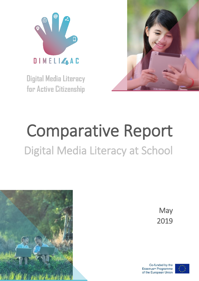

**Digital Media Literacy for Active Citizenship**



# Comparative Report Digital Media Literacy at School



**May** 2019

Co-funded by the Erasmus+ Programme of the European Union

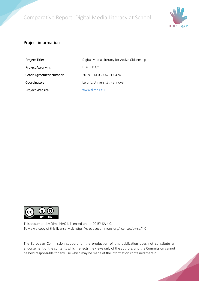

#### Project information

| Project Title:                 | Digital Media Literacy for Active Citizenship |
|--------------------------------|-----------------------------------------------|
| Project Acronym:               | DIMELI4AC                                     |
| <b>Grant Agreement Number:</b> | 2018-1-DF03-KA201-047411                      |
| Coordinator:                   | Leibniz Universität Hannover                  |
| Project Website:               | www.dimeli.eu                                 |



This document by Dimeli4AC is licensed under CC BY-SA 4.0. To view a copy of this license, visit https://creativecommons.org/licenses/by-sa/4.0

The European Commission support for the production of this publication does not constitute an endorsement of the contents which reflects the views only of the authors, and the Commission cannot be held responsi-ble for any use which may be made of the information contained therein.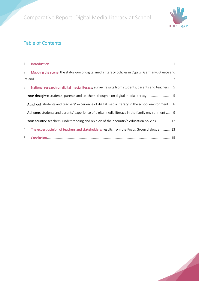

## Table of Contents

| 1. |                                                                                                     |
|----|-----------------------------------------------------------------------------------------------------|
| 2. | Mapping the scene: the status quo of digital media literacy policies in Cyprus, Germany, Greece and |
|    |                                                                                                     |
| 3. | National research on digital media literacy: survey results from students, parents and teachers  5  |
|    | Your thoughts: students, parents and teachers' thoughts on digital media literacy 5                 |
|    | At school: students and teachers' experience of digital media literacy in the school environment 8  |
|    | At home: students and parents' experience of digital media literacy in the family environment  9    |
|    | Your country: teachers' understanding and opinion of their country's education policies 12          |
| 4. | The expert opinion of teachers and stakeholders: results from the Focus Group dialogue 13           |
|    | 5 Conclusion<br>15                                                                                  |

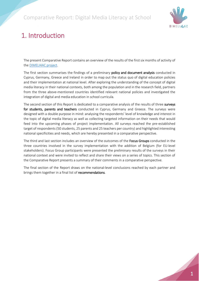

# <span id="page-3-0"></span>1. Introduction

The present Comparative Report contains an overview of the results of the first six months of activity of the [DIMELI4AC project.](http://dimeli.eu/)

The first section summarises the findings of a preliminary policy and document analysis conducted in Cyprus, Germany, Greece and Ireland in order to map out the status quo of digital education policies and their implementation at national level. After exploring the understanding of the concept of digital media literacy in their national contexts, both among the population and in the research field, partners from the three above-mentioned countries identified relevant national policies and investigated the integration of digital and media education in school curricula.

The second section of this Report is dedicated to a comparative analysis of the results of three surveys for students, parents and teachers conducted in Cyprus, Germany and Greece. The surveys were designed with a double purpose in mind: analysing the respondents' level of knowledge and interest in the topic of digital media literacy as well as collecting targeted information on their needs that would feed into the upcoming phases of project implementation. All surveys reached the pre-established target of respondents (50 students, 25 parents and 25 teachers per country) and highlighted interesting national specificities and needs, which are hereby presented in a comparative perspective.

The third and last section includes an overview of the outcomes of the Focus Groups conducted in the three countries involved in the survey implementation with the addition of Belgium (for EU-level stakeholders). Focus Group participants were presented the preliminary results of the surveys in their national context and were invited to reflect and share their views on a series of topics. This section of the Comparative Report presents a summary of their comments in a comparative perspective.

The final section of the Report draws on the national-level conclusions reached by each partner and brings them together in a final list of recommendations.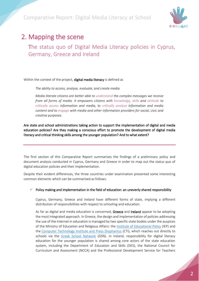

# <span id="page-4-0"></span>2. Mapping the scene

The status quo of Digital Media Literacy policies in Cyprus, Germany, Greece and Ireland

Within the context of the project, digital media literacy is defined as

*The ability to access, analyse, evaluate, and create media.*

*Media literate citizens are better able to understand the complex messages we receive from all forms of media. It empowers citizens with knowledge, skills and attitude to critically access information and media, to critically analyse information and media content and to engage with media and other information providers for social, civic and creative purposes.*

Are state and school administrations taking action to support the implementation of digital and media education policies? Are they making a conscious effort to promote the development of digital media literacy and critical thinking skills among the younger population? And to what extent?

The first section of this Comparative Report summarises the findings of a preliminary policy and document analysis conducted in Cyprus, Germany and Greece in order to map out the status quo of digital education policies and their implementation.

Despite their evident differences, the three countries under examination presented some interesting common elements which can be summarised as follows:

Policy making and implementation in the field of education: an unevenly shared responsibility

Cyprus, Germany, Greece and Ireland have different forms of state, implying a different distribution of responsibilities with respect to schooling and education.

As far as digital and media education is concerned, Greece and Ireland appear to be adopting the most integrated approach. In Greece, the design and implementation of policies addressing the use of the Internet in education is managed by two specific state bodies under the auspices of the Ministry of Education and Religious Affairs: the [Institute of Educational Policy](http://iep.edu.gr/el/) (IEP) and the [Computer Technology Institute and Press Diophantus](http://www.cti.gr/en/) (CTI), which reaches out directly to schools via the [Greek School Network](https://www.sch.gr/english) (GSN). In Ireland, responsibility for digital literacy education for the younger population is shared among core actors of the state education system, including the Department of Education and Skills (DES), the National Council for Curriculum and Assessment (NCCA) and the Professional Development Service for Teachers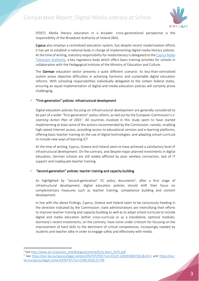

(PDST). Media literacy education in a broader, cross-generational perspective is the responsibility of the Broadcast Authority of Ireland (BAI).

Cyprus also employs a centralized education system, but despite recent modernisation efforts it has yet to establish a national body in charge of implementing digital media literacy policies. At the time of writing, statutory responsibility for media literacy is delegated to th[e Cyprus Radio](http://www.crta.org.cy/default.asp?id=24)  [Television Authority,](http://www.crta.org.cy/default.asp?id=24) a key regulatory body which offers basic training activities for schools in collaboration with the Pedagogical Institute of the Ministry of Education and Culture.

The German education sector presents a quite different scenario: its less-than-centralised system poses objective difficulties in achieving harmonic and sustainable digital education reforms. With schooling responsibilities individually delegated to the sixteen federal states, ensuring an equal implementation of digital and media education policies will certainly prove challenging.

#### "First-generation" policies: infrastructural development

Digital education policies focusing on infrastructural development are generally considered to be part of a wider "first-generation" policy reform, as laid out by the European Commission's *e-*Learning Action Plan of 2001<sup>1</sup>. All countries involved in this study seem to have started implementing at least some of the actions recommended by the Commission, namely: enabling high-speed Internet access; providing access to educational services and e-learning platforms; offering basic teacher training on the use of digital technologies; and adapting school curricula to include new ways of learning ICT.

At the time of writing, Cyprus, Greece and Ireland seem to have achieved a satisfactory level of infrastructural development. On the contrary, and despite major planned investments in digital education, German schools are still widely afflicted by poor wireless connection, lack of IT support and inadequate teacher training.

#### "Second-generation" policies: teacher training and capacity building

As highlighted by "second-generation" EC policy documents<sup>2</sup>, after a first stage of infrastructural development, digital education policies should shift their focus on complementary measures such as teacher training, competence building and content development.

In line with the above findings, Cyprus, Greece and Ireland seem to be consciously heading in the direction indicated by the Commission: state administrations are intensifying their efforts to improve teacher training and capacity building as well as to adapt school curricula to include digital and media education (either cross-curricula or as a standalone, optional module). Germany's recent investments, on the contrary, have come under criticism for focusing on the improvement of hard skills to the detriment of critical competences, increasingly needed by students and teacher alike in order to engage safely and effectively with media.

<sup>1</sup> <sup>1</sup> See [http://www.aic.lv/ace/ace\\_disk/Bologna/contrib/EU/e-learn\\_ACPL.pdf.](http://www.aic.lv/ace/ace_disk/Bologna/contrib/EU/e-learn_ACPL.pdf)

<sup>&</sup>lt;sup>2</sup> See [https://eur-lex.europa.eu/legal-content/EN/TXT/PDF/?uri=CELEX:32018H0607\(01\)&rid=2](https://eur-lex.europa.eu/legal-content/EN/TXT/PDF/?uri=CELEX:32018H0607(01)&rid=2) and [https://eur](https://eur-lex.europa.eu/legal-content/EN/TXT/?uri=COM:2018:22:FIN)[lex.europa.eu/legal-content/EN/TXT/?uri=COM:2018:22:FIN.](https://eur-lex.europa.eu/legal-content/EN/TXT/?uri=COM:2018:22:FIN)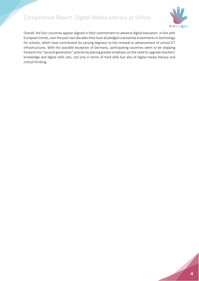

Overall, the four countries appear aligned in their commitment to advance digital education: in line with European trends, over the past two decades they have all pledged substantial investments in technology for schools, which have contributed (to varying degrees) to the renewal or advancement of school ICT infrastructures. With the possible exception of Germany, participating countries seem to be stepping forward into "second-generation" policies by placing greater emphasis on the need to upgrade teachers' knowledge and digital skills sets, not only in terms of hard skills but also of digital media literacy and critical thinking.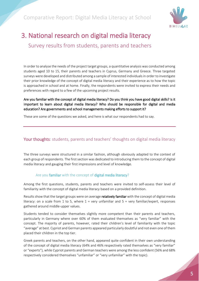

# <span id="page-7-0"></span>3. National research on digital media literacy Survey results from students, parents and teachers

In order to analyse the needs of the project target groups, a quantitative analysis was conducted among students aged 10 to 15, their parents and teachers in Cyprus, Germany and Greece. Three targeted surveys were developed and distributed among a sample of interested individuals in order to investigate their prior knowledge of the concept of digital media literacy and their experience as to how the topic is approached in school and at home. Finally, the respondents were invited to express their needs and preferences with regard to a few of the upcoming project results.

#### Are you familiar with the concept of digital media literacy? Do you think you have good digital skills? Is it important to learn about digital media literacy? Who should be responsible for digital and media education? Are governments and school managements making efforts to support it?

These are some of the questions we asked, and here is what our respondents had to say.

#### <span id="page-7-1"></span>Your thoughts: students, parents and teachers' thoughts on digital media literacy

The three surveys were structured in a similar fashion, although obviously adapted to the context of each group of respondents. The first section was dedicated to introducing them to the concept of digital media literacy and gauging their first impressions and level of knowledge.

#### Are you familiar with the concept of digital media literacy?

Among the first questions, students, parents and teachers were invited to self-assess their level of familiarity with the concept of digital media literacy based on a provided definition.

Results show that the target groups were on average relatively familiar with the concept of digital media literacy: on a scale from 1 to 5, where  $1 = \text{very}$  unfamiliar and  $5 = \text{very}$  familiar/expert, responses gathered around middle-upper values.

Students tended to consider themselves slightly more competent than their parents and teachers, particularly in Germany where over 60% of them evaluated themselves as "very familiar" with the concept. The majority of parents, however, rated their children's level of familiarity with the topic "average" at best. Cypriot and German parents appeared particularly doubtful and not even one of them placed their children in the top tier.

Greek parents and teachers, on the other hand, appeared quite confident in their own understanding of the concept of digital media literacy (64% and 46% respectively rated themselves as "very familiar" or "experts"), while Cypriot parents and German teachers were among the less confident (56% and 68% respectively considered themselves "unfamiliar" or "very unfamiliar" with the topic).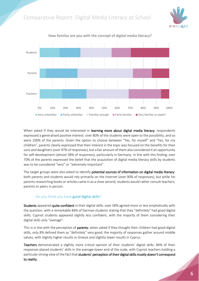



How familiar are you with the concept of digital media literacy?

When asked if they would be interested in learning more about digital media literacy, respondents expressed a generalised positive interest: over 80% of the students were open to the possibility, and so were 100% of the parents. Given the option to choose between "Yes, for myself" and "Yes, for my children", parents clearly expressed that their interest in the topic was focused on the benefits for their sons and daughters(over 97% of responses), but a fair amount of them also considered it an opportunity for self-development (almost 38% of responses), particularly in Germany. In line with this finding, over 70% of the parents expressed the belief that the acquisition of digital media literacy skills by students was to be considered "very" or "extremely important".

The target groups were also asked to identify potential sources of information on digital media literacy: both parents and students would rely primarily on the Internet (over 90% of responses), but while for parents researching books or articles came in as a close second, students would rather consult teachers, parents or peers in person.

#### Do you think you have good digital skills?

Students appeared quite confident in their digital skills: over 58% agreed more or less emphatically with the question, with a remarkable 86% of German students stating that they "definitely" had good digital skills. Cypriot students appeared slightly less confident, with the majority of them considering their digital skills only "average".

This is in line with the perception of parents: when asked if they thought their children had good digital skills, only 8% defined them as "definitely" very good; the majority of responses gather around middle values, with slightly higher results in Greece and slightly lower results in Cyprus.

Teachers demonstrated a slightly more critical opinion of their students' digital skills: 84% of their responses placed students' skills in the average-lower end of the scale, with Cypriot teachers holding a particular strong view of the fact that students' perception of their digital skills mostly doesn't correspond to reality.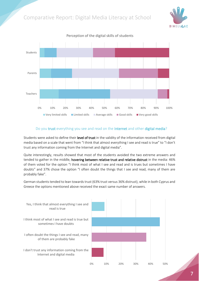



Perception of the digital skills of students

#### Do you trust everything you see and read on the Internet and other digital media?

Students were asked to define their level of trust in the validity of the information received from digital media based on a scale that went from "I think that almost everything I see and read is true" to "I don't trust any information coming from the Internet and digital media".

Quite interestingly, results showed that most of the students avoided the two extreme answers and tended to gather in the middle, hovering between relative trust and relative distrust in the media: 46% of them voted for the option "I think most of what I see and read and is trues but sometimes I have doubts" and 37% chose the option "I often doubt the things that I see and read, many of them are probably fake".

German students tended to lean towards trust (63% trust versus 36% distrust), while in both Cyprus and Greece the options mentioned above received the exact same number of answers.

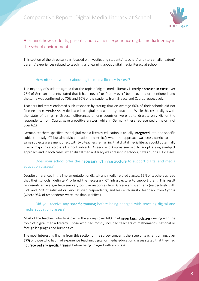

#### <span id="page-10-0"></span>At school: how students, parents and teachers experience digital media literacy in the school environment

This section of the three surveys focused on investigating students', teachers' and (to a smaller extent) parents' experiences related to teaching and learning about digital media literacy at school.

#### How **often** do you talk about digital media literacy in class?

The majority of students agreed that the topic of digital media literacy is rarely discussed in class: over 73% of German students stated that it had "never" or "hardly ever" been covered or mentioned, and the same was confirmed by 70% and 50% of the students from Greece and Cyprus respectively.

Teachers indirectly endorsed such response by stating that on average 66% of their schools did not foresee any curricular hours dedicated to digital media literacy education. While this result aligns with the state of things in Greece, differences among countries were quite drastic: only 4% of the respondents from Cyprus gave a positive answer, while in Germany these represented a majority of over 62%.

German teachers specified that digital media literacy education is usually integrated into one specific subject (mostly ICT but also civic education and ethics); when the approach was cross-curricular, the same subjects were mentioned, with two teachers remarking that digital media literacy could potentially play a major role across all school subjects. Greece and Cyprus seemed to adopt a single-subject approach and in both cases, when digital media literacy was present in schools, it was during ICT classes.

#### Does your school offer the necessary ICT infrastructure to support digital and media education classes?

Despite differences in the implementation of digital- and media-related classes, 59% of teachers agreed that their schools "definitely" offered the necessary ICT infrastructure to support them. This result represents an average between very positive responses from Greece and Germany (respectively with 92% and 72% of satisfied or very satisfied respondents) and less enthusiastic feedback from Cyprus (where 95% of respondents were less than satisfied).

#### Did you receive any specific training before being charged with teaching digital and media education classes?

Most of the teachers who took part in the survey (over 68%) had never taught classes dealing with the topic of digital media literacy. Those who had mostly included teachers of mathematics, national or foreign languages and humanities.

The most interesting finding from this section of the survey concerns the issue of teacher training: over 77% of those who had had experience teaching digital or media education classes stated that they had not received any specific training before being charged with such task.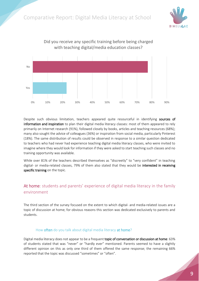



Did you receive any specific training before being charged with teaching digital/media education classes?

Despite such obvious limitation, teachers appeared quite resourceful in identifying sources of information and inspiration to plan their digital media literacy classes: most of them appeared to rely primarily on Internet research (91%), followed closely by books, articles and teaching resources (68%); many also sought the advice of colleagues (36%) or inspiration from social media, particularly Pinterest (18%). The same distribution of results could be observed in response to a similar question dedicated to teachers who had never had experience teaching digital media literacy classes, who were invited to imagine where they would look for information if they were asked to start teaching such classes and no training opportunity was available.

While over 81% of the teachers described themselves as "discreetly" to "very confident" in teaching digital- or media-related classes, 79% of them also stated that they would be interested in receiving specific training on the topic.

#### <span id="page-11-0"></span>At home: students and parents' experience of digital media literacy in the family environment

The third section of the survey focused on the extent to which digital- and media-related issues are a topic of discussion at home; for obvious reasons this section was dedicated exclusively to parents and students.

#### How often do you talk about digital media literacy at home?

Digital media literacy does not appear to be a frequent topic of conversation or discussion at home: 63% of students stated that was "never" or "hardly ever" mentioned. Parents seemed to have a slightly different opinion on this as only one third of them offered the same response; the remaining 66% reported that the topic was discussed "sometimes" or "often".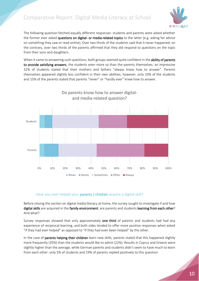

The following question fetched equally different responses: students and parents were asked whether the former ever asked questions on digital- or media-related topics to the latter (e.g. asking for advice on something they saw or read online). Over two thirds of the students said that it never happened; on the contrary, over two thirds of the parents affirmed that they did respond to questions on the topic from their sons and daughters.

When it came to answering such questions, both groups seemed quite confident in the ability of parents to provide satisfying answers, the students even more so than the parents themselves: an impressive 32% of students stated that their mothers and fathers "always knew how to answer". Parents themselves appeared slightly less confident in their own abilities; however, only 10% of the students and 15% of the parents stated that parents "never" or "hardly ever" knew how to answer.



# Do parents know how to answer digital-

#### Have you ever helped your parents / children acquire a digital skill?

Before closing the section on digital media literacy at home, the survey sought to investigate if and how digital skills are acquired in the family environment: are parents and students learning from each other? And what?

Survey responses showed that only approximately one third of parents and students had had any experience of reciprocal learning, and both sides tended to offer more positive responses when asked "if they had ever helped" as opposed to "if they had even been helped" by the other.

In the case of parents helping their children learn new skills, parents stated that this happened slightly more frequently (35%) than the students would like to admit (22%). Results in Cyprus and Greece were slightly higher than the average, while German parents and students didn't seem to have much to learn from each other: only 5% of students and 19% of parents replied positively to this question.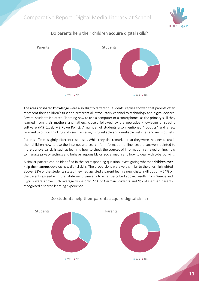



Do parents help their children acquire digital skills?

The areas of shared knowledge were also slightly different. Students' replies showed that parents often represent their children's first and preferential introductory channel to technology and digital devices. Several students indicated "learning how to use a computer or a smartphone" as the primary skill they learned from their mothers and fathers, closely followed by the operative knowledge of specific software (MS Excel, MS PowerPoint). A number of students also mentioned "robotics" and a few referred to critical thinking skills such as recognising reliable and unreliable websites and news outlets.

Parents offered slightly different responses. While they also remarked that they were the ones to teach their children how to use the Internet and search for information online, several answers pointed to more transversal skills such as learning how to check the sources of information retrieved online, how to manage privacy settings and behave responsibly on social media and how to deal with cyberbullying.

A similar pattern can be identified in the corresponding question investigating whether **children ever** help their parents develop new digital skills. The proportions were very similar to the ones highlighted above: 32% of the students stated they had assisted a parent learn a new digital skill but only 24% of the parents agreed with that statement. Similarly to what described above, results from Greece and Cyprus were above such average while only 22% of German students and 9% of German parents recognised a shared learning experience.



#### Do students help their parents acquire digital skills?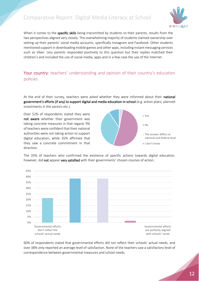

When it comes to the specific skills being transmitted by students to their parents, results from the two perspectives aligned very closely. The overwhelming majority of students claimed ownership over setting up their parents' social media accounts, specifically Instagram and Facebook. Other students mentioned support in downloading mobile games and other apps, including instant messaging services such as Viber. Less parents responded positively to this question but their replies matched their children's and included the use of social media, apps and in a few case the use of the Internet.

#### <span id="page-14-0"></span>Your country: teachers' understanding and opinion of their country's education policies

At the end of their survey, teachers were asked whether they were informed about their national government's efforts (if any) to support digital and media education in school (e.g. action plans, planned investments in the sectors etc.).

Over 52% of respondents stated they were not aware whether their government was taking concrete measures in that regard; 9% of teachers were confident that their national authorities were not taking action to support digital education, while 35% affirmed that they saw a concrete commitment in that direction.



The 35% of teachers who confirmed the existence of specific actions towards digital education, however, did not appear very satisfied with their governments' chosen courses of action.



60% of respondents stated that governmental efforts did not reflect their schools' actual needs, and over 38% only reported an average level of satisfaction. None of the teachers saw a satisfactory level of correspondence between governmental measures and school needs.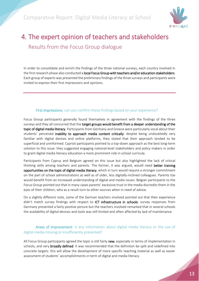

# <span id="page-15-0"></span>4. The expert opinion of teachers and stakeholders Results from the Focus Group dialogue

In order to consolidate and enrich the findings of the three national surveys, each country involved in the first research phase also conducted a local Focus Group with teachers and/or education stakeholders. Each group of experts was presented the preliminary findings of the three surveys and participants were invited to express their first impressions and opinions.

#### First impressions: can you confirm these findings based on your experience?

Focus Group participants generally found themselves in agreement with the findings of the three surveys and they all concurred that the target groups would benefit from a deeper understanding of the topic of digital media literacy. Participants from Germany and Greece were particularly vocal about their students' perceived **inability to approach media content critically**: despite being undoubtedly very familiar with digital devices and online platforms, they stated that their approach tended to be superficial and uninformed. Cypriot participants pointed to a top-down approach as the best long-term solution to this issue: they suggested engaging national-level stakeholders and policy makers in order to grant digital media literacy education a more prominent role in school curricula.

Participants from Cyprus and Belgium agreed on this issue but also highlighted the lack of critical thinking skills among teachers and parents. The former, it was argued, would need better training opportunities on the topic of digital media literacy, which in turn would require a stronger commitment on the part of school administrations as well as of older, less digitally-inclined colleagues. Parents too would benefit from an increased understanding of digital and media issues: Belgian participants to the Focus Group pointed out that in many cases parents' excessive trust in the media discredits them in the eyes of their children, who as a result turn to other sources when in need of advice.

On a slightly different note, some of the German teachers involved pointed out that their experience didn't match survey findings with respect to **ICT infrastructure in schools**: survey responses from Germany presented a fairly positive picture but the teachers involved remarked that in several schools the availability of digital devices and tools was still limited and often affected by lack of maintenance.

#### Areas of improvement: is any information about digital media literacy or the use of digital media missing or insufficiently presented?

All Focus Group participants agreed the topic is still fairly new, especially in terms of implementation in schools, and very broadly defined. It was recommended that the definition be split and redefined into concrete targets: this will allow the development of more specific teaching material as well as easier assessment of students' accomplishments in term of digital and media literacy.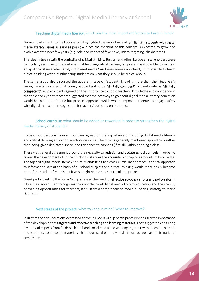

#### Teaching digital media literacy: which are the most important factors to keep in mind?

German participants to the Focus Group highlighted the importance of familiarising students with digital media literacy issues as early as possible, since the meaning of this concept is expected to grow and evolve over the next few years (e.g. role and impact of fake news, micro targeting, clickbait etc.).

This clearly ties in with the centrality of critical thinking. Belgian and other European stakeholders were particularly sensitive to the obstacles that teaching critical thinking can present: is it possible to maintain an apolitical stance when analysing biased media? And even more importantly, is it possible to teach critical thinking without influencing students on what they should be critical about?

The same group also discussed the apparent issue of "students knowing more than their teachers": survey results indicated that young people tend to be "digitally confident" but not quite as "digitally competent". All participants agreed on the importance to boost teachers' knowledge and confidence in the topic and Cypriot teachers suggested that the best way to go about digital media literacy education would be to adopt a "subtle but precise" approach which would empower students to engage safely with digital media and recognise their teachers' authority on the topic.

#### School curricula: what should be added or reworked in order to strengthen the digital media literacy of students?

Focus Group participants in all countries agreed on the importance of including digital media literacy and critical thinking education in school curricula. The topic is generally mentioned sporadically rather than being given dedicated space, and this tends to happens (if at all) within one single class.

There was general agreement around the necessity to redesign and update school curricula in order to favour the development of critical thinking skills over the acquisition of copious amounts of knowledge. The topic of digital media literacy naturally lends itself to a cross-curricular approach: a critical approach to information lays at the basis of all school subjects and critical thinking would more easily become part of the students' mind set if it was taught with a cross-curricular approach.

Greek participants to the Focus Group stressed the need for effective advocacy efforts and policy reform: while their government recognises the importance of digital media literacy education and the scarcity of training opportunities for teachers, it still lacks a comprehensive forward-looking strategy to tackle this issue.

#### Next stages of the project: what to keep in mind? What to improve?

In light of the considerations expressed above, all Focus Group participants emphasised the importance of the development of targeted and effective teaching and learning materials. They suggested consulting a variety of experts from fields such as IT and social media and working together with teachers, parents and students to develop materials that address their individual needs as well as their national specificities.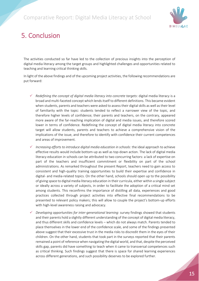

# <span id="page-17-0"></span>5. Conclusion

The activities conducted so far have led to the collection of precious insights into the perception of digital media literacy among the target groups and highlighted challenges and opportunities related to teaching and learning critical thinking skills.

In light of the above findings and of the upcoming project activities, the following recommendations are put forward:

- *Redefining the concept of digital media literacy into concrete targets*: digital media literacy is a broad and multi-faceted concept which lends itself to different definitions. This became evident when students, parents and teachers were asked to assess their digital skills as well as their level of familiarity with the topic: students tended to reflect a narrower view of the topic, and therefore higher levels of confidence; their parents and teachers, on the contrary, appeared more aware of the far-reaching implication of digital and media issues, and therefore scored lower in terms of confidence. Redefining the concept of digital media literacy into concrete target will allow students, parents and teachers to achieve a comprehensive vision of the implications of the issue, and therefore to identify with confidence their current competences and areas of improvement.
- *Increasing efforts to introduce digital media education in schools*: the ideal approach to achieve effective results would include bottom-up as well as top-down action. The lack of digital media literacy education in schools can be attributed to two concurring factors: a lack of expertise on part of the teachers and insufficient commitment or flexibility on part of the school administrations. As remarked throughout the present Report, teachers need to gain access to consistent and high-quality training opportunities to build their expertise and confidence in digital- and media-related topics. On the other hand, schools should open up to the possibility of giving space to digital media literacy education in their curricula, either within a single subject or ideally across a variety of subjects, in order to facilitate the adoption of a critical mind set among students. This reconfirms the importance of distilling all data, experiences and good practices collected through project activities into effective final recommendations to be presented to relevant policy makers; this will allow to couple the project's bottom-up efforts with high-level awareness raising and advocacy.
- *Developing opportunities for inter-generational learning*: survey findings showed that students and their parents hold a slightly different understanding of the concept of digital media literacy, and thus different skills and confidence levels – which do not always match. Parents tended to place themselves in the lower end of the confidence scale, and some of the findings presented above suggest that their excessive trust in the media risks to discredit them in the eyes of their children. On the other hand, students that took part in the surveys reported that their parents remained a point of reference when navigating the digital world, and that, despite the perceived skills gap, parents did have something to teach when it came to transversal competences such as critical thinking. Such findings suggest that there is space for shared learning experiences across different generations, and such possibility deserves to be explored further.